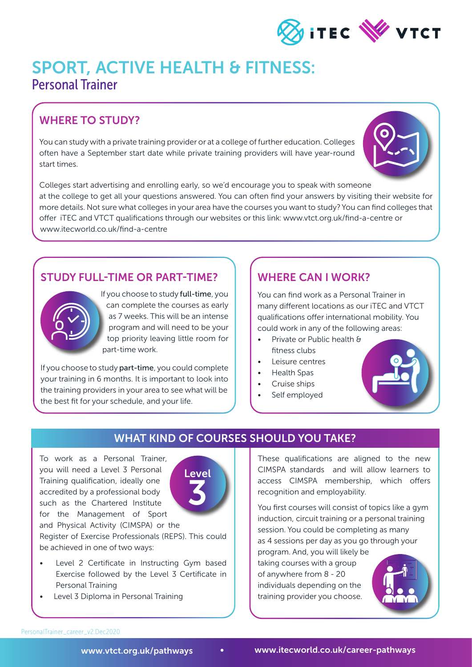

## SPORT, ACTIVE HEALTH & FITNESS: Personal Trainer

## WHERE TO STUDY?

You can study with a private training provider or at a college of further education. Colleges often have a September start date while private training providers will have year-round start times.



Colleges start advertising and enrolling early, so we'd encourage you to speak with someone at the college to get all your questions answered. You can often find your answers by visiting their website for more details. Not sure what colleges in your area have the courses you want to study? You can find colleges that offer iTEC and VTCT qualifications through our websites or this link: www.vtct.org.uk/find-a-centre or www.itecworld.co.uk/find-a-centre

### STUDY FULL-TIME OR PART-TIME?



If you choose to study full-time, you can complete the courses as early as 7 weeks. This will be an intense program and will need to be your top priority leaving little room for part-time work.

If you choose to study part-time, you could complete your training in 6 months. It is important to look into the training providers in your area to see what will be the best fit for your schedule, and your life.

### WHERE CAN I WORK?

You can find work as a Personal Trainer in many different locations as our iTEC and VTCT qualifications offer international mobility. You could work in any of the following areas:

- Private or Public health & fitness clubs
- Leisure centres
- Health Spas
- Cruise ships
- Self employed



#### WHAT KIND OF COURSES SHOULD YOU TAKE?

To work as a Personal Trainer, you will need a Level 3 Personal Training qualification, ideally one accredited by a professional body such as the Chartered Institute for the Management of Sport and Physical Activity (CIMSPA) or the



Register of Exercise Professionals (REPS). This could be achieved in one of two ways:

- Level 2 Certificate in Instructing Gym based Exercise followed by the Level 3 Certificate in Personal Training
- Level 3 Diploma in Personal Training

These qualifications are aligned to the new CIMSPA standards and will allow learners to access CIMSPA membership, which offers recognition and employability.

You first courses will consist of topics like a gym induction, circuit training or a personal training session. You could be completing as many as 4 sessions per day as you go through your program. And, you will likely be

taking courses with a group of anywhere from 8 - 20 individuals depending on the training provider you choose.



PersonalTrainer\_career\_v2.Dec2020